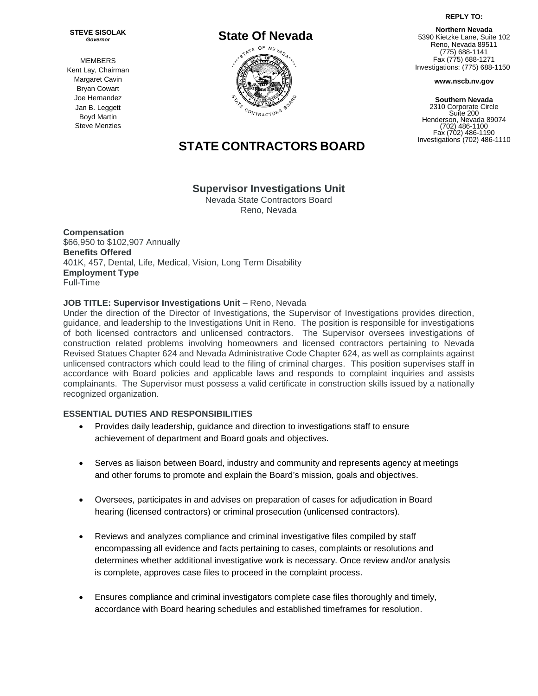**REPLY TO:**

**STEVE SISOLAK** *Governor*

MEMBERS Kent Lay, Chairman Margaret Cavin Bryan Cowart Joe Hernandez Jan B. Leggett Boyd Martin Steve Menzies



# **STATE CONTRACTORS BOARD**

# **Supervisor Investigations Unit**

Nevada State [Contractors](https://www.ziprecruiter.com/c/Nevada-State-Contractors-Board/Jobs) Board Reno, Nevada

**Compensation** \$66,950 to \$102,907 Annually **Benefits Offered** 401K, 457, Dental, Life, Medical, Vision, Long Term Disability **Employment Type** Full-Time

## **JOB TITLE: Supervisor Investigations Unit** – Reno, Nevada

Under the direction of the Director of Investigations, the Supervisor of Investigations provides direction, guidance, and leadership to the Investigations Unit in Reno. The position is responsible for investigations of both licensed contractors and unlicensed contractors. The Supervisor oversees investigations of construction related problems involving homeowners and licensed contractors pertaining to Nevada Revised Statues Chapter 624 and Nevada Administrative Code Chapter 624, as well as complaints against unlicensed contractors which could lead to the filing of criminal charges. This position supervises staff in accordance with Board policies and applicable laws and responds to complaint inquiries and assists complainants. The Supervisor must possess a valid certificate in construction skills issued by a nationally recognized organization.

# **ESSENTIAL DUTIES AND RESPONSIBILITIES**

- Provides daily leadership, guidance and direction to investigations staff to ensure achievement of department and Board goals and objectives.
- Serves as liaison between Board, industry and community and represents agency at meetings and other forums to promote and explain the Board's mission, goals and objectives.
- Oversees, participates in and advises on preparation of cases for adjudication in Board hearing (licensed contractors) or criminal prosecution (unlicensed contractors).
- Reviews and analyzes compliance and criminal investigative files compiled by staff encompassing all evidence and facts pertaining to cases, complaints or resolutions and determines whether additional investigative work is necessary. Once review and/or analysis is complete, approves case files to proceed in the complaint process.
- Ensures compliance and criminal investigators complete case files thoroughly and timely, accordance with Board hearing schedules and established timeframes for resolution.

**Northern Nevada** 5390 Kietzke Lane, Suite 102 Reno, Nevada 89511 (775) 688-1141 Fax (775) 688-1271 Investigations: (775) 688-1150

**www.nscb.nv.gov**

**Southern Nevada** 2310 Corporate Circle Suite 200 Henderson, Nevada 89074 (702) 486-1100 Fax (702) 486-1190 Investigations (702) 486-1110